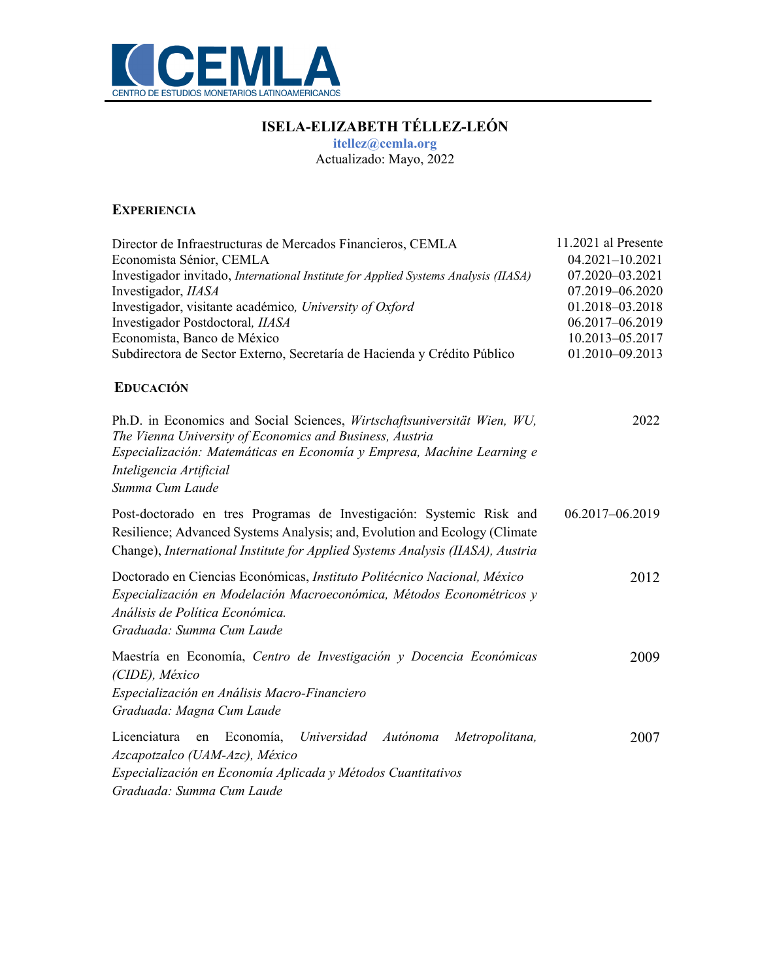

# **ISELA-ELIZABETH TÉLLEZ-LEÓN**

**itellez@cemla.org**

Actualizado: Mayo, 2022

#### **EXPERIENCIA**

| Director de Infraestructuras de Mercados Financieros, CEMLA                                                                                                                                                                          | 11.2021 al Presente |
|--------------------------------------------------------------------------------------------------------------------------------------------------------------------------------------------------------------------------------------|---------------------|
| Economista Sénior, CEMLA                                                                                                                                                                                                             | $04.2021 - 10.2021$ |
| Investigador invitado, International Institute for Applied Systems Analysis (IIASA)                                                                                                                                                  | 07.2020-03.2021     |
| Investigador, IIASA                                                                                                                                                                                                                  | 07.2019-06.2020     |
| Investigador, visitante académico, University of Oxford                                                                                                                                                                              | 01.2018-03.2018     |
| Investigador Postdoctoral, IIASA                                                                                                                                                                                                     | 06.2017-06.2019     |
| Economista, Banco de México                                                                                                                                                                                                          | 10.2013-05.2017     |
| Subdirectora de Sector Externo, Secretaría de Hacienda y Crédito Público                                                                                                                                                             | 01.2010-09.2013     |
| <b>EDUCACIÓN</b>                                                                                                                                                                                                                     |                     |
| Ph.D. in Economics and Social Sciences, Wirtschaftsuniversität Wien, WU,<br>The Vienna University of Economics and Business, Austria                                                                                                 | 2022                |
| Especialización: Matemáticas en Economía y Empresa, Machine Learning e<br>Inteligencia Artificial                                                                                                                                    |                     |
| Summa Cum Laude                                                                                                                                                                                                                      |                     |
|                                                                                                                                                                                                                                      |                     |
| Post-doctorado en tres Programas de Investigación: Systemic Risk and<br>Resilience; Advanced Systems Analysis; and, Evolution and Ecology (Climate<br>Change), International Institute for Applied Systems Analysis (IIASA), Austria | 06.2017-06.2019     |
| Doctorado en Ciencias Económicas, Instituto Politécnico Nacional, México<br>Especialización en Modelación Macroeconómica, Métodos Econométricos y<br>Análisis de Política Económica.<br>Graduada: Summa Cum Laude                    | 2012                |
| Maestría en Economía, Centro de Investigación y Docencia Económicas<br>(CIDE), México<br>Especialización en Análisis Macro-Financiero<br>Graduada: Magna Cum Laude                                                                   | 2009                |
| Licenciatura<br>en Economía,<br>Universidad<br>Autónoma<br>Metropolitana,<br>Azcapotzalco (UAM-Azc), México<br>Especialización en Economía Aplicada y Métodos Cuantitativos<br>Graduada: Summa Cum Laude                             | 2007                |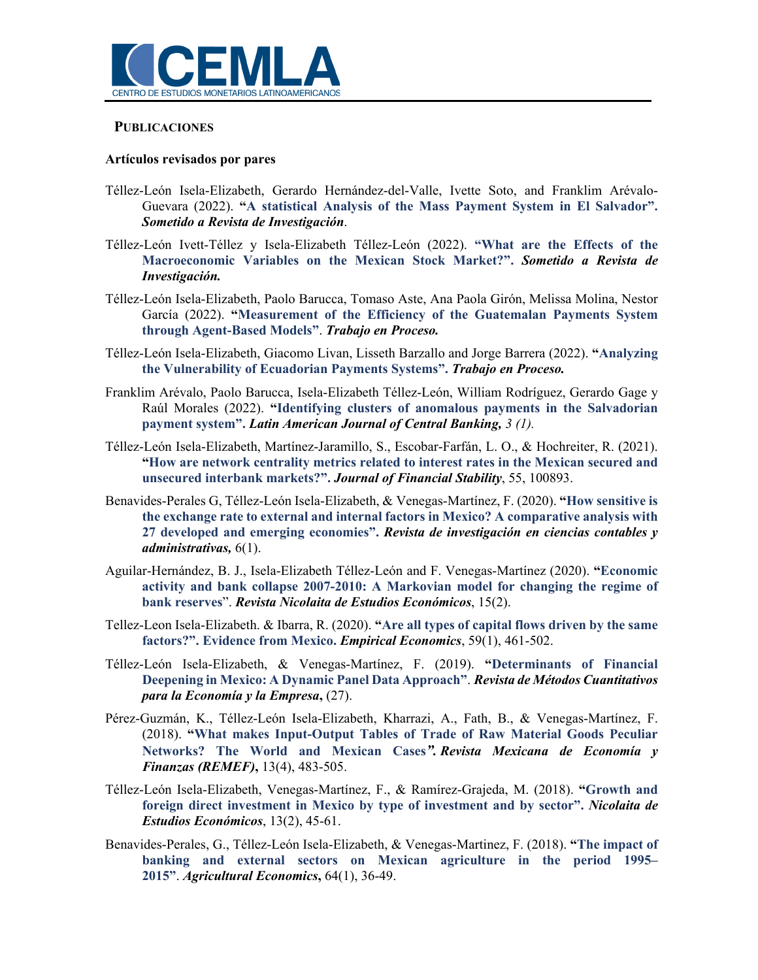

#### **PUBLICACIONES**

#### **Artículos revisados por pares**

- Téllez-León Isela-Elizabeth, Gerardo Hernández-del-Valle, Ivette Soto, and Franklim Arévalo-Guevara (2022). **"A statistical Analysis of the Mass Payment System in El Salvador".** *Sometido a Revista de Investigación*.
- Téllez-León Ivett-Téllez y Isela-Elizabeth Téllez-León (2022). **"What are the Effects of the Macroeconomic Variables on the Mexican Stock Market?".** *Sometido a Revista de Investigación.*
- Téllez-León Isela-Elizabeth, Paolo Barucca, Tomaso Aste, Ana Paola Girón, Melissa Molina, Nestor García (2022). **"Measurement of the Efficiency of the Guatemalan Payments System through Agent-Based Models"**. *Trabajo en Proceso.*
- Téllez-León Isela-Elizabeth, Giacomo Livan, Lisseth Barzallo and Jorge Barrera (2022). **"Analyzing the Vulnerability of Ecuadorian Payments Systems".** *Trabajo en Proceso.*
- Franklim Arévalo, Paolo Barucca, Isela-Elizabeth Téllez-León, William Rodríguez, Gerardo Gage y Raúl Morales (2022). **"Identifying clusters of anomalous payments in the Salvadorian payment system".** *Latin American Journal of Central Banking, 3 (1).*
- Téllez-León Isela-Elizabeth, Martínez-Jaramillo, S., Escobar-Farfán, L. O., & Hochreiter, R. (2021). **"How are network centrality metrics related to interest rates in the Mexican secured and unsecured interbank markets?".** *Journal of Financial Stability*, 55, 100893.
- Benavides-Perales G, Téllez-León Isela-Elizabeth, & Venegas-Martínez, F. (2020). **"How sensitive is the exchange rate to external and internal factors in Mexico? A comparative analysis with 27 developed and emerging economies".** *Revista de investigación en ciencias contables y administrativas,* 6(1).
- Aguilar-Hernández, B. J., Isela-Elizabeth Téllez-León and F. Venegas-Martínez (2020). **"Economic activity and bank collapse 2007-2010: A Markovian model for changing the regime of bank reserves**". *Revista Nicolaita de Estudios Económicos*, 15(2).
- Tellez-Leon Isela-Elizabeth. & Ibarra, R. (2020). **"Are all types of capital flows driven by the same factors?". Evidence from Mexico.** *Empirical Economics*, 59(1), 461-502.
- Téllez-León Isela-Elizabeth, & Venegas-Martínez, F. (2019). **"Determinants of Financial Deepening in Mexico: A Dynamic Panel Data Approach"**. *Revista de Métodos Cuantitativos para la Economía y la Empresa***,** (27).
- Pérez-Guzmán, K., Téllez-León Isela-Elizabeth, Kharrazi, A., Fath, B., & Venegas-Martínez, F. (2018). **"What makes Input-Output Tables of Trade of Raw Material Goods Peculiar Networks? The World and Mexican Cases***". Revista Mexicana de Economía y Finanzas (REMEF)***,** 13(4), 483-505.
- Téllez-León Isela-Elizabeth, Venegas-Martínez, F., & Ramírez-Grajeda, M. (2018). **"Growth and foreign direct investment in Mexico by type of investment and by sector".** *Nicolaita de Estudios Económicos*, 13(2), 45-61.
- Benavides-Perales, G., Téllez-León Isela-Elizabeth, & Venegas-Martinez, F. (2018). **"The impact of banking and external sectors on Mexican agriculture in the period 1995– 2015"**. *Agricultural Economics***,** 64(1), 36-49.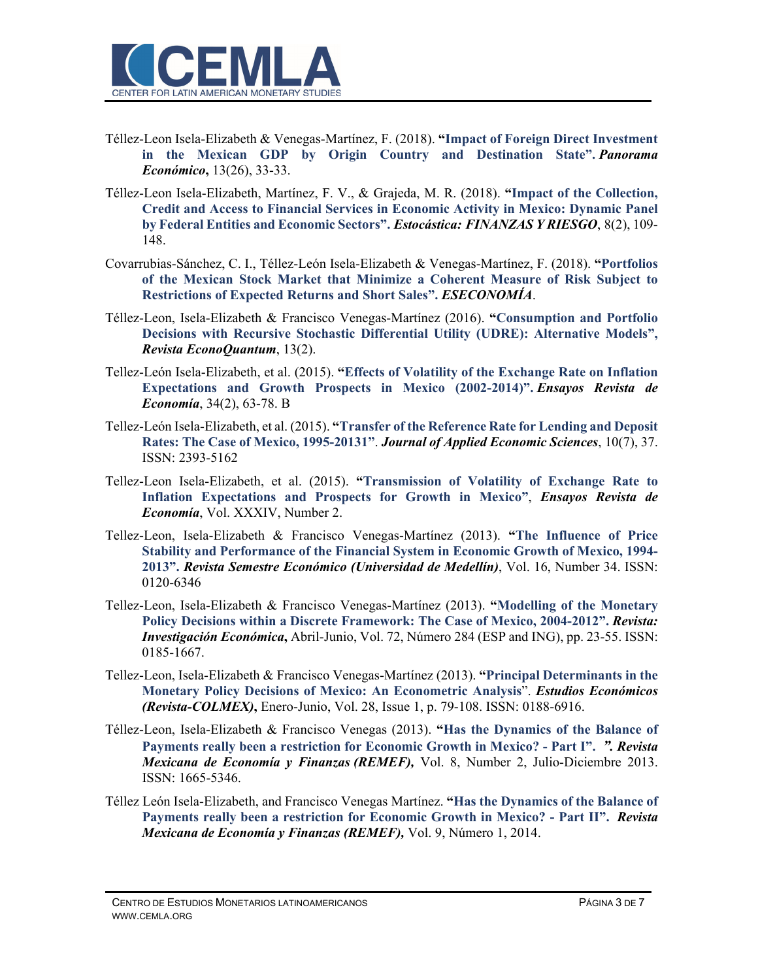

- Téllez-Leon Isela-Elizabeth & Venegas-Martínez, F. (2018). **"Impact of Foreign Direct Investment in the Mexican GDP by Origin Country and Destination State".** *Panorama Económico***,** 13(26), 33-33.
- Téllez-Leon Isela-Elizabeth, Martínez, F. V., & Grajeda, M. R. (2018). **"Impact of the Collection, Credit and Access to Financial Services in Economic Activity in Mexico: Dynamic Panel by Federal Entities and Economic Sectors".** *Estocástica: FINANZAS Y RIESGO*, 8(2), 109- 148.
- Covarrubias-Sánchez, C. I., Téllez-León Isela-Elizabeth & Venegas-Martínez, F. (2018). **"Portfolios of the Mexican Stock Market that Minimize a Coherent Measure of Risk Subject to Restrictions of Expected Returns and Short Sales".** *ESECONOMÍA*.
- Téllez-Leon, Isela-Elizabeth & Francisco Venegas-Martínez (2016). **"Consumption and Portfolio Decisions with Recursive Stochastic Differential Utility (UDRE): Alternative Models",** *Revista EconoQuantum*, 13(2).
- Tellez-León Isela-Elizabeth, et al. (2015). **"Effects of Volatility of the Exchange Rate on Inflation Expectations and Growth Prospects in Mexico (2002-2014)".** *Ensayos Revista de Economía*, 34(2), 63-78. B
- Tellez-León Isela-Elizabeth, et al. (2015). **"Transfer of the Reference Rate for Lending and Deposit Rates: The Case of Mexico, 1995-20131"**. *Journal of Applied Economic Sciences*, 10(7), 37. ISSN: 2393-5162
- Tellez-Leon Isela-Elizabeth, et al. (2015). **"Transmission of Volatility of Exchange Rate to Inflation Expectations and Prospects for Growth in Mexico"**, *Ensayos Revista de Economía*, Vol. XXXIV, Number 2.
- Tellez-Leon, Isela-Elizabeth & Francisco Venegas-Martínez (2013). **"The Influence of Price Stability and Performance of the Financial System in Economic Growth of Mexico, 1994- 2013".** *Revista Semestre Económico (Universidad de Medellín)*, Vol. 16, Number 34. ISSN: 0120-6346
- Tellez-Leon, Isela-Elizabeth & Francisco Venegas-Martínez (2013). **"Modelling of the Monetary Policy Decisions within a Discrete Framework: The Case of Mexico, 2004-2012".** *Revista: Investigación Económica***,** Abril-Junio, Vol. 72, Número 284 (ESP and ING), pp. 23-55. ISSN: 0185-1667.
- Tellez-Leon, Isela-Elizabeth & Francisco Venegas-Martínez (2013). **"Principal Determinants in the Monetary Policy Decisions of Mexico: An Econometric Analysis**". *Estudios Económicos (Revista-COLMEX)***,** Enero-Junio, Vol. 28, Issue 1, p. 79-108. ISSN: 0188-6916.
- Téllez-Leon, Isela-Elizabeth & Francisco Venegas (2013). **"Has the Dynamics of the Balance of Payments really been a restriction for Economic Growth in Mexico? - Part I".** *". Revista Mexicana de Economía y Finanzas (REMEF),* Vol. 8, Number 2, Julio-Diciembre 2013. ISSN: 1665-5346.
- Téllez León Isela-Elizabeth, and Francisco Venegas Martínez. **"Has the Dynamics of the Balance of Payments really been a restriction for Economic Growth in Mexico? - Part II".** *Revista Mexicana de Economía y Finanzas (REMEF),* Vol. 9, Número 1, 2014.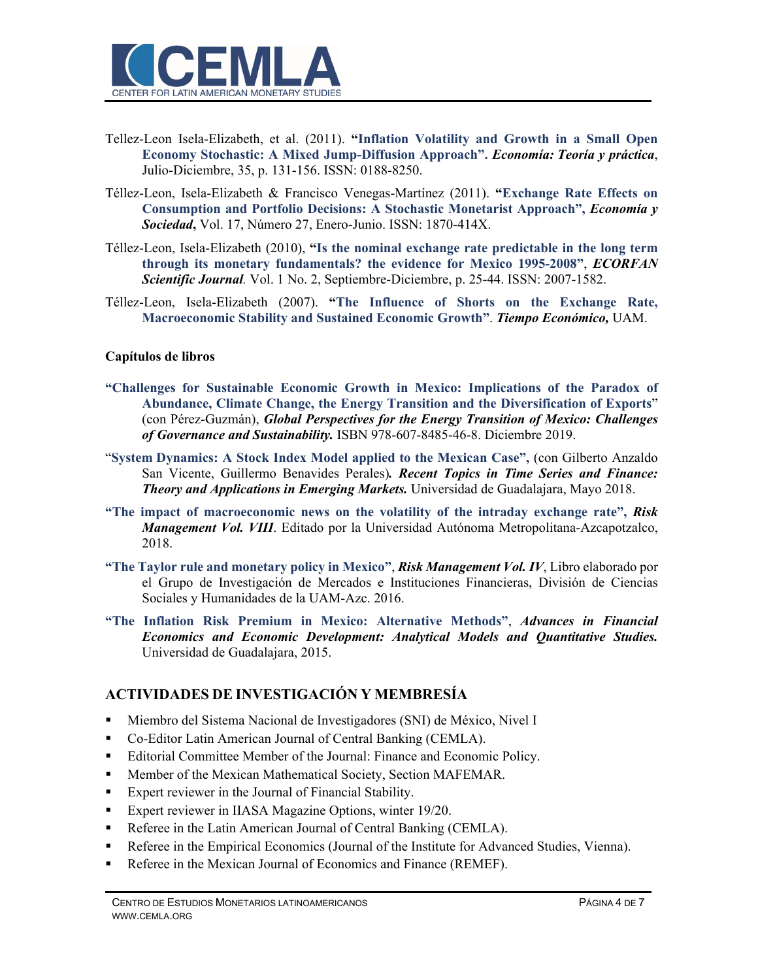

- Tellez-Leon Isela-Elizabeth, et al. (2011). **"Inflation Volatility and Growth in a Small Open Economy Stochastic: A Mixed Jump-Diffusion Approach".** *Economía: Teoría y práctica*, Julio-Diciembre, 35, p. 131-156. ISSN: 0188-8250.
- Téllez-Leon, Isela-Elizabeth & Francisco Venegas-Martínez (2011). **"Exchange Rate Effects on Consumption and Portfolio Decisions: A Stochastic Monetarist Approach",** *Economía y Sociedad***,** Vol. 17, Número 27, Enero-Junio. ISSN: 1870-414X.
- Téllez-Leon, Isela-Elizabeth (2010), **"Is the nominal exchange rate predictable in the long term through its monetary fundamentals? the evidence for Mexico 1995-2008"**, *ECORFAN Scientific Journal.* Vol. 1 No. 2, Septiembre-Diciembre, p. 25-44. ISSN: 2007-1582.
- Téllez-Leon, Isela-Elizabeth (2007). **"The Influence of Shorts on the Exchange Rate, Macroeconomic Stability and Sustained Economic Growth"**. *Tiempo Económico,* UAM.

#### **Capítulos de libros**

- **"Challenges for Sustainable Economic Growth in Mexico: Implications of the Paradox of Abundance, Climate Change, the Energy Transition and the Diversification of Exports**" (con Pérez-Guzmán), *Global Perspectives for the Energy Transition of Mexico: Challenges of Governance and Sustainability.* ISBN 978-607-8485-46-8. Diciembre 2019.
- "**System Dynamics: A Stock Index Model applied to the Mexican Case",** (con Gilberto Anzaldo San Vicente, Guillermo Benavides Perales)*. Recent Topics in Time Series and Finance: Theory and Applications in Emerging Markets.* Universidad de Guadalajara, Mayo 2018.
- **"The impact of macroeconomic news on the volatility of the intraday exchange rate",** *Risk Management Vol. VIII*. Editado por la Universidad Autónoma Metropolitana-Azcapotzalco, 2018.
- **"The Taylor rule and monetary policy in Mexico"**, *Risk Management Vol. IV*, Libro elaborado por el Grupo de Investigación de Mercados e Instituciones Financieras, División de Ciencias Sociales y Humanidades de la UAM-Azc. 2016.
- **"The Inflation Risk Premium in Mexico: Alternative Methods"**, *Advances in Financial Economics and Economic Development: Analytical Models and Quantitative Studies.* Universidad de Guadalajara, 2015.

#### **ACTIVIDADES DE INVESTIGACIÓN Y MEMBRESÍA**

- Miembro del Sistema Nacional de Investigadores (SNI) de México, Nivel I
- Co-Editor Latin American Journal of Central Banking (CEMLA).
- Editorial Committee Member of the Journal: Finance and Economic Policy.
- Member of the Mexican Mathematical Society, Section MAFEMAR.
- Expert reviewer in the Journal of Financial Stability.
- Expert reviewer in IIASA Magazine Options, winter 19/20.
- Referee in the Latin American Journal of Central Banking (CEMLA).
- Referee in the Empirical Economics (Journal of the Institute for Advanced Studies, Vienna).
- Referee in the Mexican Journal of Economics and Finance (REMEF).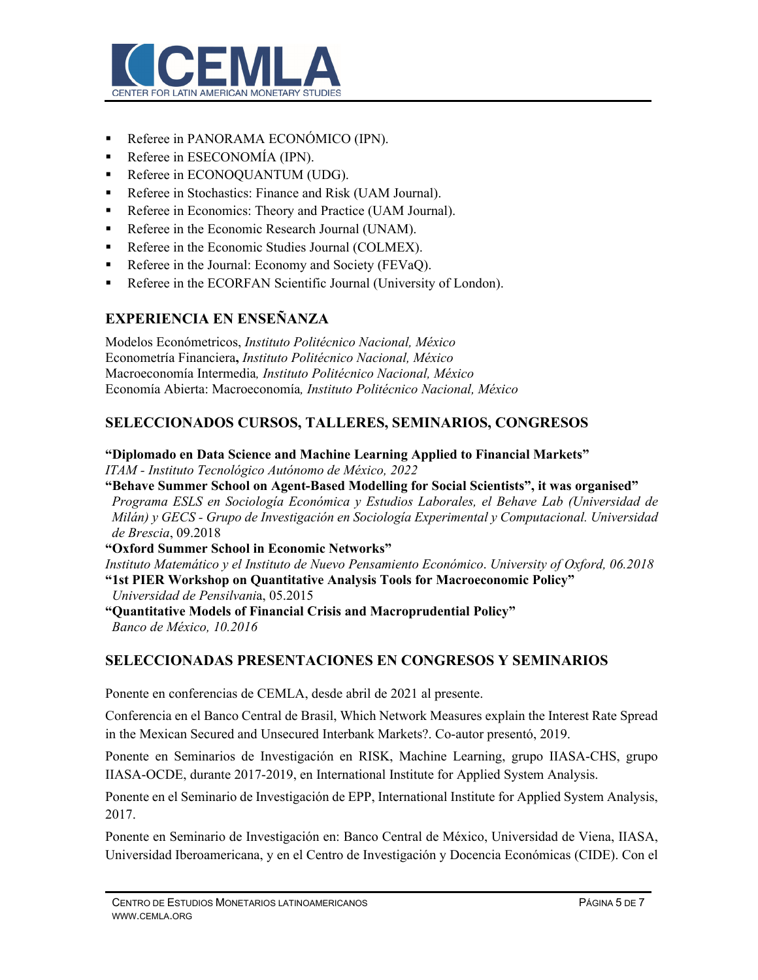

- Referee in PANORAMA ECONÓMICO (IPN).
- Referee in ESECONOMÍA (IPN).
- Referee in ECONOQUANTUM (UDG).
- Referee in Stochastics: Finance and Risk (UAM Journal).
- Referee in Economics: Theory and Practice (UAM Journal).
- Referee in the Economic Research Journal (UNAM).
- Referee in the Economic Studies Journal (COLMEX).
- Referee in the Journal: Economy and Society (FEVaQ).
- Referee in the ECORFAN Scientific Journal (University of London).

## **EXPERIENCIA EN ENSEÑANZA**

Modelos Económetricos, *Instituto Politécnico Nacional, México* Econometría Financiera**,** *Instituto Politécnico Nacional, México*  Macroeconomía Intermedia*, Instituto Politécnico Nacional, México*  Economía Abierta: Macroeconomía*, Instituto Politécnico Nacional, México* 

## **SELECCIONADOS CURSOS, TALLERES, SEMINARIOS, CONGRESOS**

**"Diplomado en Data Science and Machine Learning Applied to Financial Markets"**  *ITAM - Instituto Tecnológico Autónomo de México, 2022*

- **"Behave Summer School on Agent-Based Modelling for Social Scientists", it was organised"**  *Programa ESLS en Sociología Económica y Estudios Laborales, el Behave Lab (Universidad de Milán) y GECS - Grupo de Investigación en Sociología Experimental y Computacional. Universidad de Brescia*, 09.2018
- **"Oxford Summer School in Economic Networks"**

*Instituto Matemático y el Instituto de Nuevo Pensamiento Económico*. *University of Oxford, 06.2018*  **"1st PIER Workshop on Quantitative Analysis Tools for Macroeconomic Policy"** 

*Universidad de Pensilvani*a, 05.2015

**"Quantitative Models of Financial Crisis and Macroprudential Policy"**  *Banco de México, 10.2016* 

#### **SELECCIONADAS PRESENTACIONES EN CONGRESOS Y SEMINARIOS**

Ponente en conferencias de CEMLA, desde abril de 2021 al presente.

Conferencia en el Banco Central de Brasil, Which Network Measures explain the Interest Rate Spread in the Mexican Secured and Unsecured Interbank Markets?. Co-autor presentó, 2019.

Ponente en Seminarios de Investigación en RISK, Machine Learning, grupo IIASA-CHS, grupo IIASA-OCDE, durante 2017-2019, en International Institute for Applied System Analysis.

Ponente en el Seminario de Investigación de EPP, International Institute for Applied System Analysis, 2017.

Ponente en Seminario de Investigación en: Banco Central de México, Universidad de Viena, IIASA, Universidad Iberoamericana, y en el Centro de Investigación y Docencia Económicas (CIDE). Con el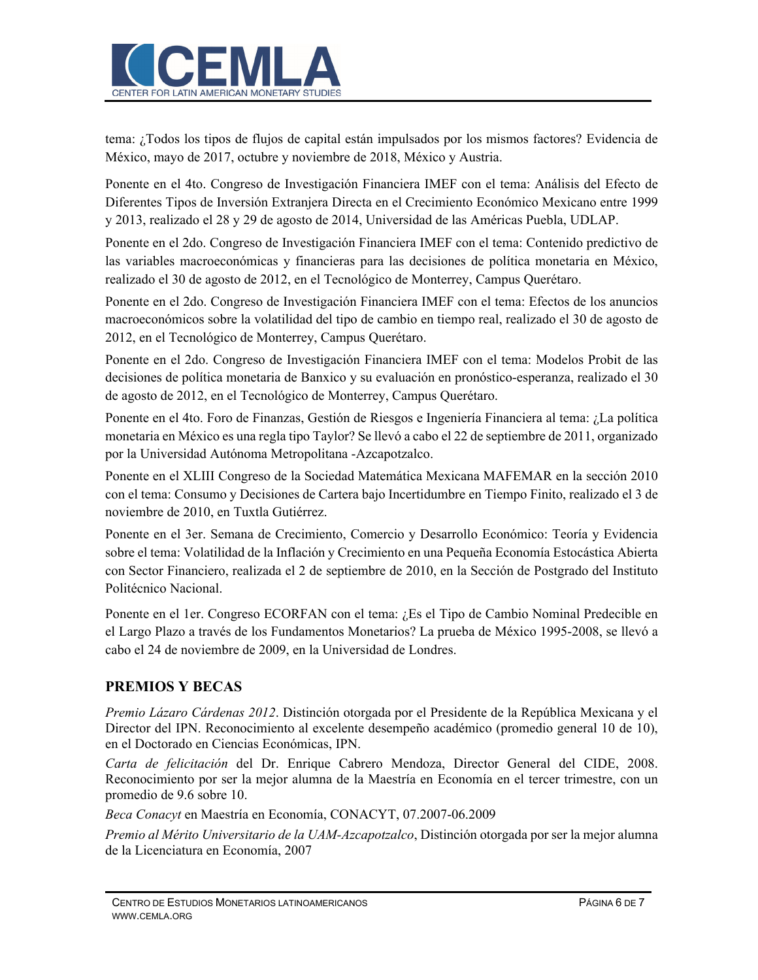

tema: ¿Todos los tipos de flujos de capital están impulsados por los mismos factores? Evidencia de México, mayo de 2017, octubre y noviembre de 2018, México y Austria.

Ponente en el 4to. Congreso de Investigación Financiera IMEF con el tema: Análisis del Efecto de Diferentes Tipos de Inversión Extranjera Directa en el Crecimiento Económico Mexicano entre 1999 y 2013, realizado el 28 y 29 de agosto de 2014, Universidad de las Américas Puebla, UDLAP.

Ponente en el 2do. Congreso de Investigación Financiera IMEF con el tema: Contenido predictivo de las variables macroeconómicas y financieras para las decisiones de política monetaria en México, realizado el 30 de agosto de 2012, en el Tecnológico de Monterrey, Campus Querétaro.

Ponente en el 2do. Congreso de Investigación Financiera IMEF con el tema: Efectos de los anuncios macroeconómicos sobre la volatilidad del tipo de cambio en tiempo real, realizado el 30 de agosto de 2012, en el Tecnológico de Monterrey, Campus Querétaro.

Ponente en el 2do. Congreso de Investigación Financiera IMEF con el tema: Modelos Probit de las decisiones de política monetaria de Banxico y su evaluación en pronóstico-esperanza, realizado el 30 de agosto de 2012, en el Tecnológico de Monterrey, Campus Querétaro.

Ponente en el 4to. Foro de Finanzas, Gestión de Riesgos e Ingeniería Financiera al tema: ¿La política monetaria en México es una regla tipo Taylor? Se llevó a cabo el 22 de septiembre de 2011, organizado por la Universidad Autónoma Metropolitana -Azcapotzalco.

Ponente en el XLIII Congreso de la Sociedad Matemática Mexicana MAFEMAR en la sección 2010 con el tema: Consumo y Decisiones de Cartera bajo Incertidumbre en Tiempo Finito, realizado el 3 de noviembre de 2010, en Tuxtla Gutiérrez.

Ponente en el 3er. Semana de Crecimiento, Comercio y Desarrollo Económico: Teoría y Evidencia sobre el tema: Volatilidad de la Inflación y Crecimiento en una Pequeña Economía Estocástica Abierta con Sector Financiero, realizada el 2 de septiembre de 2010, en la Sección de Postgrado del Instituto Politécnico Nacional.

Ponente en el 1er. Congreso ECORFAN con el tema: ¿Es el Tipo de Cambio Nominal Predecible en el Largo Plazo a través de los Fundamentos Monetarios? La prueba de México 1995-2008, se llevó a cabo el 24 de noviembre de 2009, en la Universidad de Londres.

## **PREMIOS Y BECAS**

*Premio Lázaro Cárdenas 2012*. Distinción otorgada por el Presidente de la República Mexicana y el Director del IPN. Reconocimiento al excelente desempeño académico (promedio general 10 de 10), en el Doctorado en Ciencias Económicas, IPN.

*Carta de felicitación* del Dr. Enrique Cabrero Mendoza, Director General del CIDE, 2008. Reconocimiento por ser la mejor alumna de la Maestría en Economía en el tercer trimestre, con un promedio de 9.6 sobre 10.

*Beca Conacyt* en Maestría en Economía, CONACYT, 07.2007-06.2009

*Premio al Mérito Universitario de la UAM-Azcapotzalco*, Distinción otorgada por ser la mejor alumna de la Licenciatura en Economía, 2007